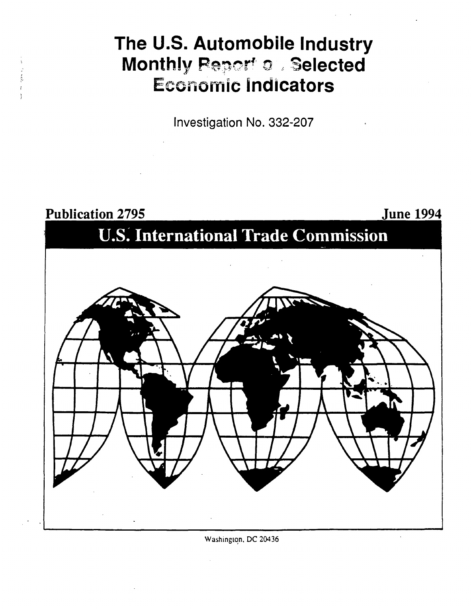# The U.S. Automobile Industry Monthly Peport o Selected **Economic Indicators**

Investigation No. 332-207

**Publication 2795** 

**June 1994** 



Washington, DC 20436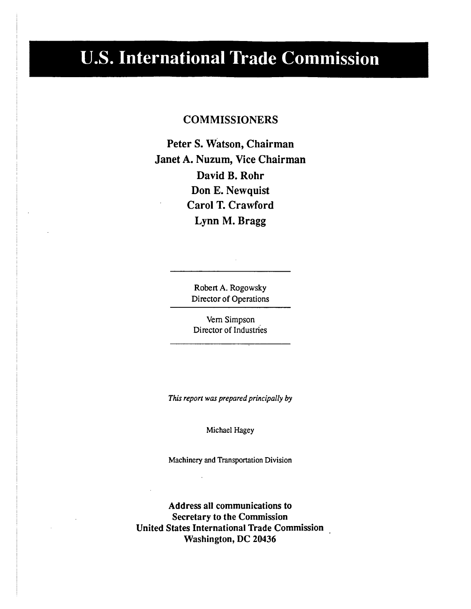## U.S. **International Trade Commission**

## COMMISSIONERS

Peter S. Watson, Chairman Janet A. Nuzum, Vice Chairman David B. Rohr Don E. Newquist Carol T. Crawford Lynn M. Bragg

> Robert A. Rogowsky Director of Operations

Vern Simpson Director of Industries

*This report was prepared principally by* 

Michael Hagey

Machinery and Transportation Division

Address all communications to Secretary to the Commission United States International Trade Commission Washington, DC 20436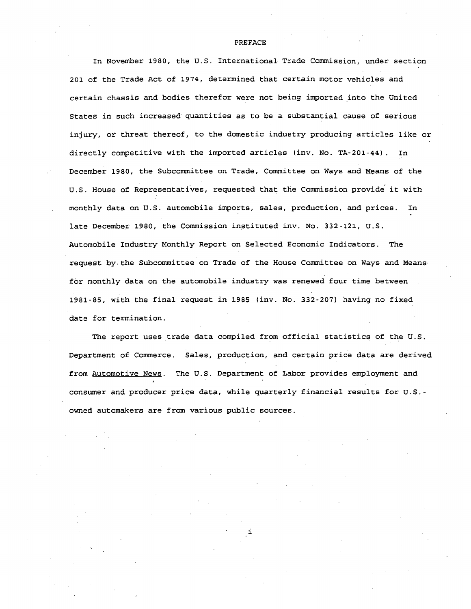#### PREFACE

In November 1980, the U.S. International Trade Commission, under section 201 of the Trade Act of 1974, determined that certain motor vehicles and certain chassis and bodies therefor were not being imported into the United States in such increased quantities as to be a substantial cause of serious injury, or threat thereof, to the domestic industry producing articles like or directly competitive with the imported articles (inv. No. TA-201-44). In December 1980, the Subcommittee on Trade, Committee on Ways and Means of the U.S. House of Representatives, requested that the Commission provide it with monthly data on U.S. automobile imports, sales, production, and prices. In late December 1980, the Commission instituted inv. No. 332-121, U.S. Automobile Industry Monthly Report on Selected Economic Indicators. The request by.the Subcommittee on Trade of the House Committee on Ways and Means for monthly data on the automobile industry was renewed four time between 1981-85, with the final request in 1985 (inv. No. 332-207) having no fixed date for termination.

The report uses trade data compiled from official statistics of the U.S. Department of Commerce. Sales, production, and certain price data are derived from Automotive News. The U.S. Department of Labor provides employment and consumer and producer price data, while quarterly financial results for U.S. owned automakers are from various public sources.

i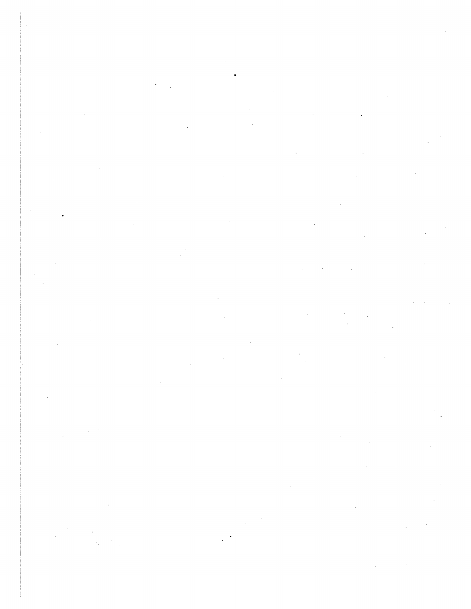$\label{eq:2.1} \frac{1}{\sqrt{2}}\int_{\mathbb{R}^3}\frac{1}{\sqrt{2}}\left(\frac{1}{\sqrt{2}}\right)^2\frac{1}{\sqrt{2}}\left(\frac{1}{\sqrt{2}}\right)^2\frac{1}{\sqrt{2}}\left(\frac{1}{\sqrt{2}}\right)^2.$  $\label{eq:2.1} \mathcal{L}(\mathcal{L}(\mathcal{L})) = \mathcal{L}(\mathcal{L}(\mathcal{L})) = \mathcal{L}(\mathcal{L}(\mathcal{L})) = \mathcal{L}(\mathcal{L}(\mathcal{L})) = \mathcal{L}(\mathcal{L}(\mathcal{L})) = \mathcal{L}(\mathcal{L}(\mathcal{L})) = \mathcal{L}(\mathcal{L}(\mathcal{L})) = \mathcal{L}(\mathcal{L}(\mathcal{L})) = \mathcal{L}(\mathcal{L}(\mathcal{L})) = \mathcal{L}(\mathcal{L}(\mathcal{L})) = \mathcal{L}(\mathcal{L}(\mathcal{L})) = \math$ 

 $\label{eq:2.1} \frac{1}{\sqrt{2}}\int_{\mathbb{R}^3}\frac{1}{\sqrt{2}}\left(\frac{1}{\sqrt{2}}\right)^2\frac{1}{\sqrt{2}}\left(\frac{1}{\sqrt{2}}\right)^2\frac{1}{\sqrt{2}}\left(\frac{1}{\sqrt{2}}\right)^2\frac{1}{\sqrt{2}}\left(\frac{1}{\sqrt{2}}\right)^2.$ 

 $\label{eq:2.1} \begin{split} \mathcal{L}_{\text{max}}(\mathcal{L}_{\text{max}}) = \mathcal{L}_{\text{max}}(\mathcal{L}_{\text{max}}) \,, \end{split}$  $\label{eq:2.1} \frac{1}{\sqrt{2}}\int_{\mathbb{R}^3}\frac{1}{\sqrt{2}}\left(\frac{1}{\sqrt{2}}\int_{\mathbb{R}^3}\frac{1}{\sqrt{2}}\left(\frac{1}{\sqrt{2}}\int_{\mathbb{R}^3}\frac{1}{\sqrt{2}}\left(\frac{1}{\sqrt{2}}\int_{\mathbb{R}^3}\frac{1}{\sqrt{2}}\right)\frac{1}{\sqrt{2}}\right)\frac{1}{\sqrt{2}}\right)=\frac{1}{2}\int_{\mathbb{R}^3}\frac{1}{\sqrt{2}}\int_{\mathbb{R}^3}\frac{1}{\sqrt{2}}\frac{1}{\$  $\label{eq:2.1} \frac{1}{\sqrt{2}}\int_{\mathbb{R}^3}\frac{1}{\sqrt{2}}\left(\frac{1}{\sqrt{2}}\right)^2\frac{1}{\sqrt{2}}\left(\frac{1}{\sqrt{2}}\right)^2\frac{1}{\sqrt{2}}\left(\frac{1}{\sqrt{2}}\right)^2\frac{1}{\sqrt{2}}\left(\frac{1}{\sqrt{2}}\right)^2.$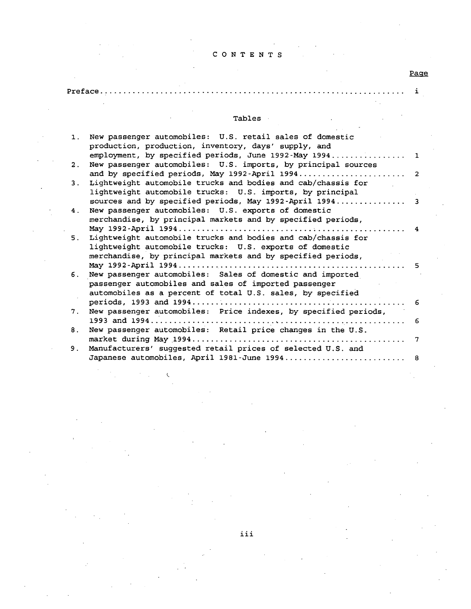#### C 0 N T E N T S

# Preface.................................................................. i

Page

### Tables

| $\mathbf 1$ .  | New passenger automobiles: U.S. retail sales of domestic<br>production, production, inventory, days' supply, and                                                                 |                |
|----------------|----------------------------------------------------------------------------------------------------------------------------------------------------------------------------------|----------------|
| 2.             | employment, by specified periods, June 1992-May 1994<br>New passenger automobiles: U.S. imports, by principal sources                                                            | -1             |
| 3 <sub>1</sub> | and by specified periods, May 1992-April 1994<br>Lightweight automobile trucks and bodies and cab/chassis for                                                                    | $\overline{2}$ |
|                | lightweight automobile trucks: U.S. imports, by principal<br>sources and by specified periods, May 1992-April 1994 3                                                             |                |
| 4.             | New passenger automobiles: U.S. exports of domestic<br>merchandise, by principal markets and by specified periods,                                                               |                |
| 5.             | Lightweight automobile trucks and bodies and cab/chassis for<br>lightweight automobile trucks: U.S. exports of domestic                                                          |                |
|                | merchandise, by principal markets and by specified periods,                                                                                                                      | 5              |
| 6.             | New passenger automobiles: Sales of domestic and imported<br>passenger automobiles and sales of imported passenger<br>automobiles as a percent of total U.S. sales, by specified |                |
|                |                                                                                                                                                                                  | 6              |
| 7.             | New passenger automobiles: Price indexes, by specified periods,                                                                                                                  | -6             |
| 8.             | New passenger automobiles: Retail price changes in the U.S.                                                                                                                      |                |
| 9.             | Manufacturers' suggested retail prices of selected U.S. and                                                                                                                      | 7              |
|                | Japanese automobiles, April 1981-June 1994                                                                                                                                       | -8             |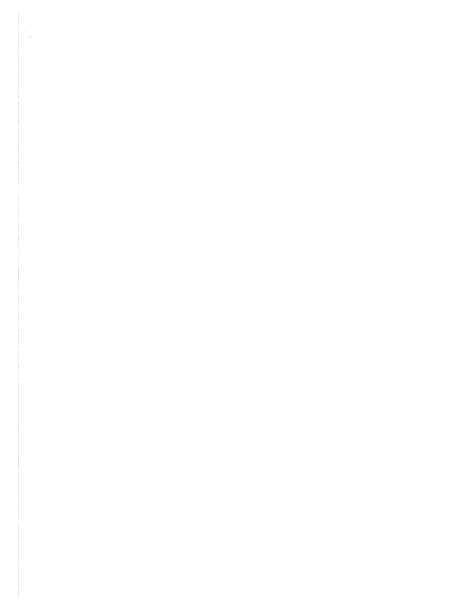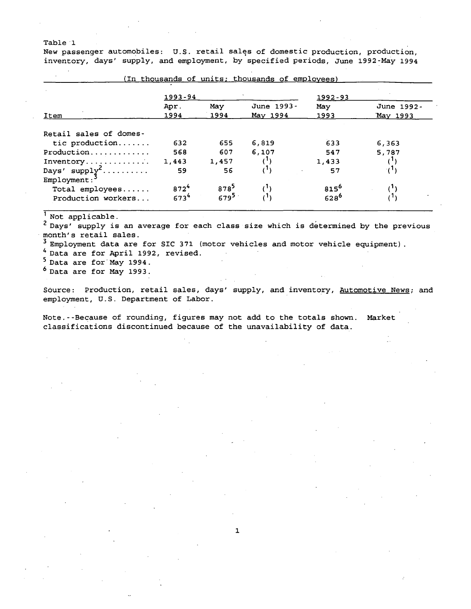New passenger automobiles: U.S. retail sales of domestic production, production, inventory, days' supply, and employment, by specified periods, June 1992-May 1994

|                                | 1993-94          |             |                               | $1992 - 93$ |                        |
|--------------------------------|------------------|-------------|-------------------------------|-------------|------------------------|
| Item                           | Apr.<br>1994     | May<br>1994 | June 1993-<br>May 1994        | May<br>1993 | June 1992-<br>May 1993 |
| Retail sales of domes-         |                  |             |                               |             |                        |
| tic production                 | 632              | 655         | 6,819                         | 633         | 6,363                  |
| Production                     | 568              | 607         | 6,107                         | 547         | 5,787                  |
| Inventory                      | 1,443            | 1,457       | $\mathfrak{c}^{\mathfrak{r}}$ | 1,433       |                        |
| Days' $\text{supp1y}^2$        | 59               | 56          |                               | 57          |                        |
| Employment:<br>Total employees | $872^{4}$        | $878^{5}$   |                               | $815^6$     |                        |
| Production workers             | 673 <sup>4</sup> | $679^{5}$   |                               | $628^{6}$   |                        |

(In thousands of units; thousands of employees)

 $\frac{1}{2}$  Not applicable.<br><sup>2</sup> Days' supply is an average for each class size which is determined by the previous month's retail sales.

3 Employment data are for SIC 371 (motor vehicles and motor vehicle equipment).<br>4 Data are for April 1992, revised.

<sup>5</sup> Data are for May 1994.

6 Data are for May 1993.

Source: Production, retail sales, days' supply, and inventory, Automotive News; and employment, U.S. Department of Labor.

Note.--Because of rounding, figures may not add to the totals shown. Market classifications discontinued because of the unavailability of data.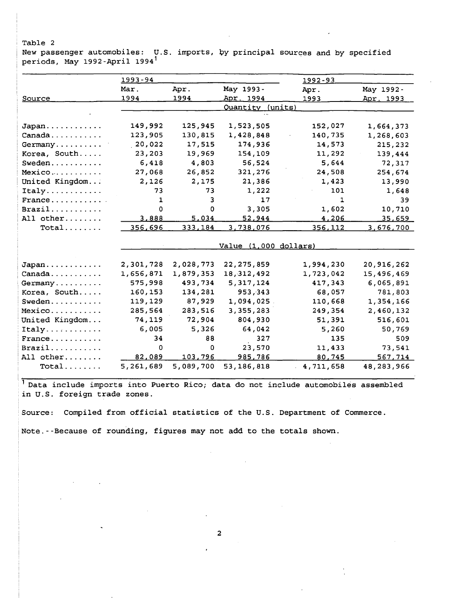New passenger automobiles: U.S. imports, *Qy* principal sources and by specified periods, May 1992-April 1994<sup>1</sup>

|                                           | 1993-94      |           |                       | 1992-93        |            |  |  |
|-------------------------------------------|--------------|-----------|-----------------------|----------------|------------|--|--|
|                                           | Mar.         | Apr.      | May 1993-             | Apr.           | May 1992-  |  |  |
| Source                                    | 1994         | 1994      | Apr. 1994             | 1993           | Apr. 1993  |  |  |
|                                           |              |           | Quantity (units)      |                |            |  |  |
|                                           |              |           |                       |                |            |  |  |
| Japan                                     | 149,992      | 125,945   | 1,523,505             | 152,027        | 1,664,373  |  |  |
| Canada.                                   | 123,905      | 130,815   | 1,428,848             | 140,735        | 1,268,603  |  |  |
| Germany                                   | 20,022       | 17,515    | 174,936               | 14,573         | 215,232    |  |  |
| Korea, South                              | 23,203       | 19,969    | 154,109               | 11,292         | 139,444    |  |  |
| $S$ weden                                 | 6,418        | 4,803     | 56,524                | 5,644          | 72,317     |  |  |
| $Mexico$                                  | 27,068       | 26,852    | 321,276               | 24,508         | 254,674    |  |  |
| United Kingdom                            | 2,126        | 2,175     | 21,386                | 1,423          | 13,990     |  |  |
| Italy                                     | 73           | 73        | 1,222                 | 101            | 1,648      |  |  |
| $France \ldots \ldots \ldots$             | $\mathbf{1}$ | 3         | 17                    | $\mathbf{1}$   | 39         |  |  |
| $\texttt{Brazil} \dots \dots \dots$       | $\mathbf 0$  | 0         | 3,305                 | 1,602          | 10,710     |  |  |
| All other                                 | 3,888        | 5,034     | 52,944                | 4,206          | 35,659     |  |  |
| $Total$                                   | 356,696      | 333,184   | 3,738,076             | <u>356,112</u> | 3,676,700  |  |  |
|                                           |              |           |                       |                |            |  |  |
|                                           |              |           | Value (1,000 dollars) |                |            |  |  |
| Japan                                     | 2,301,728    | 2,028,773 | 22, 275, 859          | 1,994,230      | 20,916,262 |  |  |
| Canada                                    | 1,656,871    | 1,879,353 | 18, 312, 492          | 1,723,042      | 15,496,469 |  |  |
| Germany                                   | 575,998      | 493,734   | 5,317,124             | 417,343        | 6,065,891  |  |  |
| Korea, South                              | 160,153      | 134,281   | 953,343               | 68,057         | 781,803    |  |  |
| $S$ weden                                 | 119,129      | 87,929    | 1,094,025             | 110,668        | 1,354,166  |  |  |
| Mexico                                    | 285,564      | 283,516   | 3, 355, 283           | 249,354        | 2,460,132  |  |  |
| United Kingdom                            | 74,119       | 72,904    | 804,930               | 51,391         | 516,601    |  |  |
| Italy                                     | 6,005        | 5,326     | 64,042                | 5,260          | 50,769     |  |  |
| France                                    | 34           | 88        | 327                   | 135            | 509        |  |  |
| $\texttt{Brazil} \dots \dots \dots \dots$ | $\mathbf 0$  | $\Omega$  | 23,570                | 11,433         | 73,541     |  |  |
| All other                                 | 82,089       | 103,796   | 985,786               | 80,745         | 567,714    |  |  |
| $Total$                                   | 5,261,689    | 5,089,700 | 53,186,818            | 4,711,658      | 48,283,966 |  |  |

Data include imports into Puerto Rico; data do not include automobiles assembled . in U.S. foreign trade zones.

Source: Compiled from official statistics of the U.S. Department of Commerce.

Note. --Because of rounding, figures may not add to the totals shown.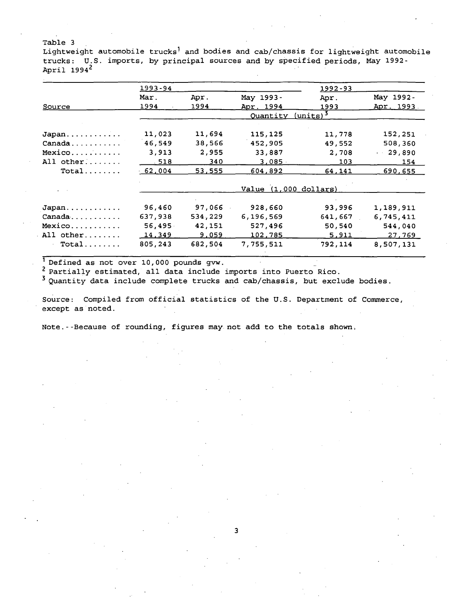Lightweight automobile  $true$ ks<sup>1</sup> and bodies and  $cab/chassis$  for lightweight automobile trucks: U.S. imports, by principal sources and by specified periods, May 1992- April 1994<sup>2</sup>

|                  | 1993-94   |         |                       | 1992-93    |            |
|------------------|-----------|---------|-----------------------|------------|------------|
|                  | Mar.      | Apr.    | May 1993-             | Apr.       | May 1992-  |
| Source           | 1994      | 1994    | Apr. 1994             | 1993       | Apr. 1993. |
|                  |           |         | Quantity              | $(mits)^3$ |            |
|                  |           |         |                       |            |            |
| Japan            | 11,023    | 11,694  | 115,125               | 11,778     | 152,251    |
| Canada.          | 46,549    | 38,566  | 452,905               | 49,552     | 508,360    |
| $Mexico$         | 3,913     | 2,955   | 33,887                | 2,708      | $-29,890$  |
| All other        | .518      | 340     | 3,085                 | 103        | 154        |
| $Total$          | $-62,004$ | 53,555  | 604,892               | 64,141     | 690,655    |
|                  |           |         | Value (1,000 dollars) |            |            |
| Japan            | 96,460    | 97,066  | 928,660               | 93,996     | 1,189,911  |
| $Canada \ldots $ | 637,938   | 534,229 | 6,196,569             | 641,667    | 6,745,411  |
| Mexico           | 56,495.   | 42,151  | 527,496               | 50,540     | 544,040    |
| All other        | 14,349    | 9,059   | 102,785               | 5,911      | 27,769     |
| Total.           | 805,243   | 682,504 | 7,755,511             | 792,114    | 8,507,131  |

The Defined as not over 10,000 pounds gvw.<br>
<sup>2</sup> Partially estimated, all data include imports into Puerto Rico.

3 Quantity data include complete trucks and cab/chassis, but exclude bodies.

Source: Compiled from official statistics of the U.S. Department of Commerce, except as noted.

Note.--Because of rounding, figures may not add to the totals shown.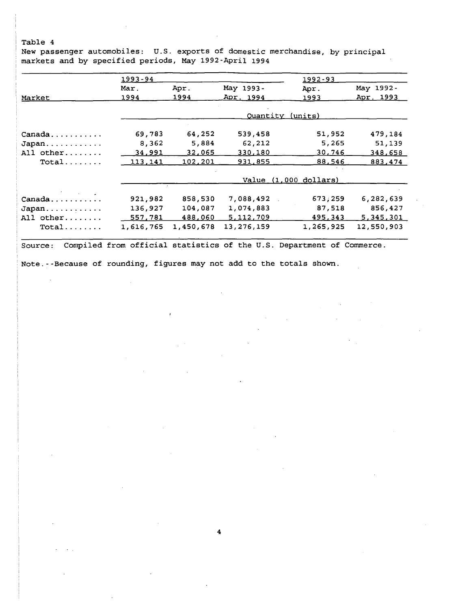New passenger automobiles: U.S. exports of domestic merchandise, by principal markets and by specified periods, May 1992-April 1994

|           | 1993-94   |           |                  | 1992-93               |            |
|-----------|-----------|-----------|------------------|-----------------------|------------|
|           | Mar.      | Apr.      | May 1993-        | Apr.                  | May 1992-  |
| Market    | 1994      | 1994      | Apr. 1994        | <u> 1993 </u>         | Apr. 1993  |
|           |           |           | Quantity (units) |                       |            |
| Canada    | 69,783    | 64,252    | 539,458          | 51,952                | 479,184    |
| Japan     | 8,362     | 5,884     | 62,212           | 5,265                 | 51,139     |
| All other | 34,991    | 32,065    | 330,180          | 30,746                | 348,658    |
| $Total$   | 113,141   | 102,201   | 931,855          | 88,546                | 883,474    |
|           |           |           |                  | Value (1,000 dollars) |            |
| Canada.   | 921,982   | 858,530   | 7,088,492        | 673,259               | 6,282,639  |
| Japan     | 136,927   | 104,087   | 1,074,883        | 87,518                | 856,427    |
| All other | 557,781   | 488,060   | 5, 112, 709      | 495,343               | 5,345,301  |
| $Total$   | 1,616,765 | 1,450,678 | 13,276,159       | 1,265,925             | 12,550,903 |

Source: Compiled from official statistics of the U.S. Department of Commerce.

 $\sim 10^{-1}$ 

l.

 $\sim 10^{-1}$ 

in.<br>Se

4

Note.--Because of rounding, figures may not add to the totals shown.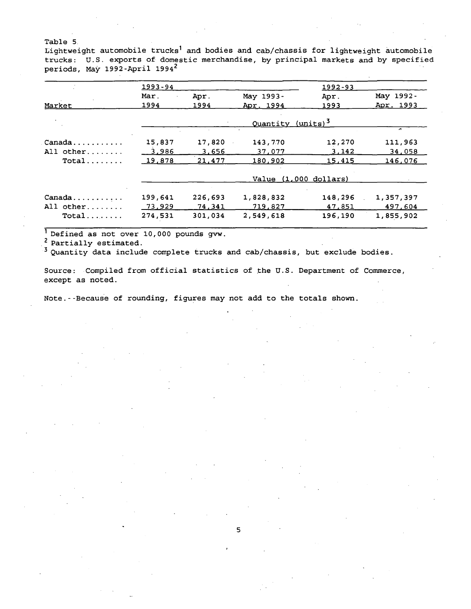#### Table 5.

Lightweight automobile  $trucks<sup>1</sup>$  and bodies and cab/chassis for lightweight automobile trucks: U.S. exports of domestic merchandise, by principal markets and by specified periods, May 1992-April 1994<sup>2</sup>

|           | 1993-94 |         |                               | 1992-93 |           |
|-----------|---------|---------|-------------------------------|---------|-----------|
|           | Mar.    | Apr.    | May 1993-                     | Apr.    | May 1992- |
| Market    | 1994    | 1994    | Apr. 1994                     | 1993    | Apr. 1993 |
|           |         |         | Quantity (units) <sup>3</sup> |         |           |
|           |         |         |                               |         | ×.        |
| Canada.   | 15,837  | 17,820  | 143,770                       | 12,270  | 111,963   |
| All other | 3,986   | 3,656   | 37,077                        | 3,142   | 34,058    |
| $Total$   | 19,878  | 21,477  | 180,902                       | 15,415  | 146,076   |
|           |         |         | Value (1,000 dollars)         |         |           |
| $Canada$  | 199,641 | 226,693 | 1,828,832                     | 148,296 | 1,357,397 |
| All other | 73,929  | 74,341  | 719,827                       | 47,851  | 497,604   |
| $Total$   | 274,531 | 301,034 | 2,549,618                     | 196,190 | 1,855,902 |

The particular over 10,000 pounds gvw.<br>
<sup>2</sup> Partially estimated.

3 Quantity data include complete *trucks* and cab/chassis, but exclude bodies.

Source: Compiled from official statistics of the U.S. Department of Commerce, except as noted.

Note. - - Because of rounding, figures may not add to the totals shown.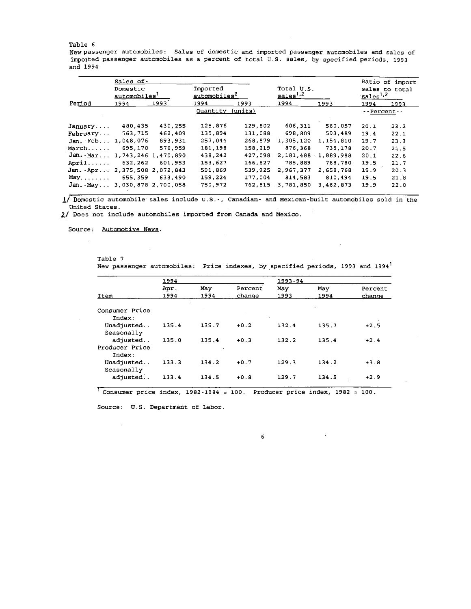New passenger automobiles: Sales of domestic and imported passenger automobiles and sales of impo1ted passenger automobiles as a percent of total U.S. sales, by specified periods, 1993 and 1994

|                                    | Sales of-                |         |                         |         |                                    |           |                      | Ratio of import |
|------------------------------------|--------------------------|---------|-------------------------|---------|------------------------------------|-----------|----------------------|-----------------|
|                                    | Domestic<br>automobiles' |         | Imported<br>automobiles |         | Total U.S.<br>sales <sup>1,2</sup> |           | sales <sup>1,2</sup> | sales to total  |
| Period                             | 1994                     | 1993    | 1994                    | 1993    | 1994                               | 1993      | 1994                 | 1993            |
|                                    |                          |         | Quantity (units)        |         |                                    |           | --Percent--          |                 |
| January                            | 480,435                  | 430,255 | 125,876                 | 129,802 | 606,311                            | 560,057   | 20.1                 | 23.2            |
| February                           | 563,715                  | 462,409 | 135,894                 | 131,088 | 698,809                            | 593,489   | 19.4                 | 22.1            |
| Jan. Feb 1,048,076                 |                          | 893.931 | 257,044                 | 268,879 | 1,305,120                          | 1,154,810 | 19.7                 | 23.3            |
| March                              | 695,170                  | 576,959 | 181,198                 | 158,219 | 876,368                            | 735,178   | 20.7                 | 21.5            |
| Jan. - Mar 1, 743, 246 1, 470, 890 |                          |         | 438,242                 | 427,098 | 2,181,488                          | 1,889,988 | 20.1                 | 22.6            |
| Aril                               | 632,262                  | 601.953 | 153,627                 | 166,827 | 785,889                            | 768,780   | 19.5                 | 21.7            |
| Jan. - Apr 2, 375, 508 2, 072, 843 |                          |         | 591,869                 | 539,925 | 2,967,377                          | 2,658,768 | 19.9                 | 20.3            |
| $May. \ldots \ldots$               | 655,359                  | 633.490 | 159,224                 | 177,004 | 814,583                            | 810,494   | 19.5                 | 21.8            |
| $Jan. - May 3,030,878 2,700,058$   |                          |         | 750,972                 | 762,815 | 3,781,850                          | 3,462,873 | 19.9                 | 22.0            |

1/ Domestic automobile sales include U.S.-, Canadian- and Mexican-built automobiles sold in the United States.

2/ Does not include automobiles imported from Canada and Mexico.

Source: Automotive News.

#### Table 7

New passenger automobiles: Price indexes, by specified periods, 1993 and 1994<sup>1</sup>

|                                      | 1994  |       |         | 1993-94 |       |         |  |  |
|--------------------------------------|-------|-------|---------|---------|-------|---------|--|--|
|                                      | Apr.  | May   | Percent | May     | May   | Percent |  |  |
| Item                                 | 1994  | 1994  | change  | 1993    | 1994  | change  |  |  |
| Consumer Price<br>Index:             |       |       |         |         |       |         |  |  |
| Unadjusted<br>Seasonally             | 135.4 | 135.7 | $+0.2$  | 132.4   | 135.7 | $+2.5$  |  |  |
| adjusted<br>Producer Price<br>Index: | 135.0 | 135.4 | $+0.3$  | 132.2   | 135.4 | $+2.4$  |  |  |
| Unadjusted<br>Seasonally             | 133.3 | 134.2 | $+0.7$  | 129.3   | 134.2 | $+3.8$  |  |  |
| adjusted                             | 133.4 | 134.5 | $+0.8$  | 129.7   | 134.5 | $+2.9$  |  |  |

 $\frac{1}{1}$ Consumer price index, 1982-1984 = 100. Producer price index, 1982 = 100.

6

Source: U.S. Department of Labor.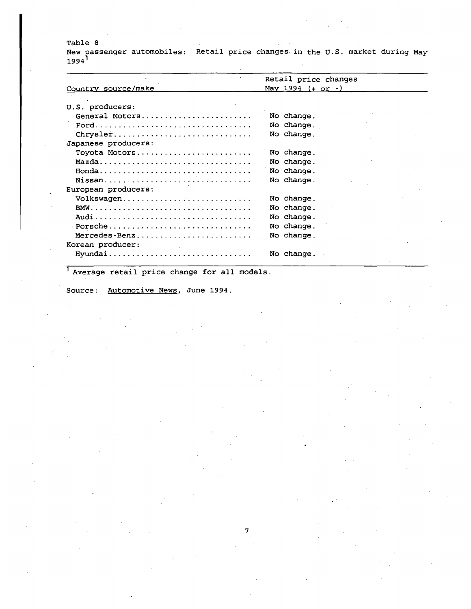New fassenger automobiles: Retail price changes in the U.S. market during May 1994

|                     | Retail price changes |  |
|---------------------|----------------------|--|
| Country source/make | May $1994$ (+ or -)  |  |
|                     |                      |  |
| U.S. producers:     |                      |  |
| General Motors      | No change.           |  |
| Ford                | No change.           |  |
| Chrysler            | No change.           |  |
| Japanese producers: |                      |  |
| Toyota Motors       | No change.           |  |
| Mazda               | No change.           |  |
|                     | No change.           |  |
| Nissan              | No change.           |  |
| European producers: |                      |  |
| Volkswagen          | No change.           |  |
|                     | No change.           |  |
|                     | No change.           |  |
|                     | No change.           |  |
| Mercedes-Benz       | No change.           |  |
| Korean producer:    |                      |  |
| Hyundai             | No change.           |  |

7

Average retail price change for all models.

Source: Automotive News, June 1994.